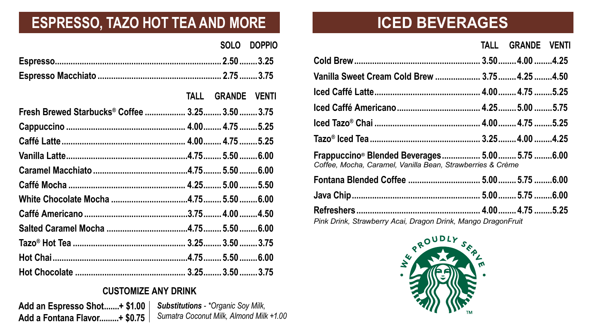|                                                 |                   | SOLO DOPPIO |
|-------------------------------------------------|-------------------|-------------|
|                                                 |                   |             |
|                                                 |                   |             |
|                                                 | TALL GRANDE VENTI |             |
| Fresh Brewed Starbucks® Coffee  3.25 3.50  3.75 |                   |             |
|                                                 |                   |             |
|                                                 |                   |             |
|                                                 |                   |             |
|                                                 |                   |             |
|                                                 |                   |             |
|                                                 |                   |             |
|                                                 |                   |             |
|                                                 |                   |             |
|                                                 |                   |             |
|                                                 |                   |             |
|                                                 |                   |             |

### **ESPRESSO, TAZO HOT TEA AND MORE**

*Substitutions - \*Organic Soy Milk, Sumatra Coconut Milk, Almond Milk +1.00* **Add an Espresso Shot.......+ \$1.00 Add a Fontana Flavor.........+ \$0.75**

#### **CUSTOMIZE ANY DRINK**



|                                                                                                                          | TALL GRANDE VENT |  |
|--------------------------------------------------------------------------------------------------------------------------|------------------|--|
|                                                                                                                          |                  |  |
| Vanilla Sweet Cream Cold Brew  3.75  4.25  4.50                                                                          |                  |  |
|                                                                                                                          |                  |  |
|                                                                                                                          |                  |  |
|                                                                                                                          |                  |  |
|                                                                                                                          |                  |  |
| Frappuccino <sup>®</sup> Blended Beverages 5.00 5.75  6.00<br>Coffee, Mocha, Caramel, Vanilla Bean, Strawberries & Crème |                  |  |
|                                                                                                                          |                  |  |
|                                                                                                                          |                  |  |
| Pink Drink, Strawberry Acai, Dragon Drink, Mango DragonFruit                                                             |                  |  |



### **ICED BEVERAGES**